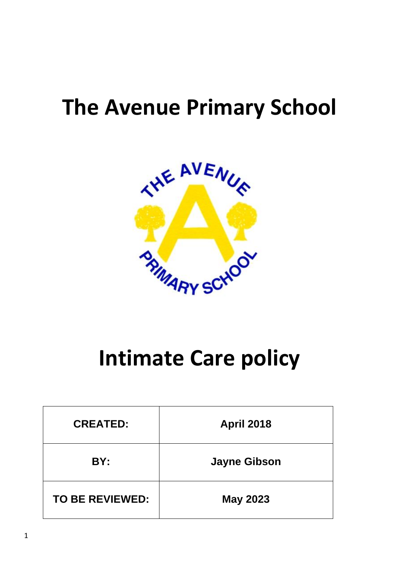# **The Avenue Primary School**



# **Intimate Care policy**

| <b>CREATED:</b>        | <b>April 2018</b>   |
|------------------------|---------------------|
| BY:                    | <b>Jayne Gibson</b> |
| <b>TO BE REVIEWED:</b> | <b>May 2023</b>     |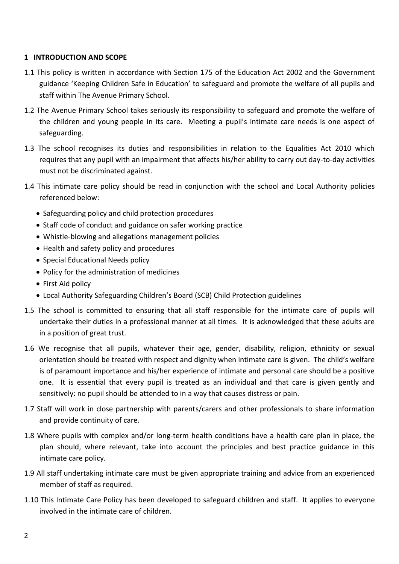#### **1 INTRODUCTION AND SCOPE**

- 1.1 This policy is written in accordance with Section 175 of the Education Act 2002 and the Government guidance 'Keeping Children Safe in Education' to safeguard and promote the welfare of all pupils and staff within The Avenue Primary School.
- 1.2 The Avenue Primary School takes seriously its responsibility to safeguard and promote the welfare of the children and young people in its care. Meeting a pupil's intimate care needs is one aspect of safeguarding.
- 1.3 The school recognises its duties and responsibilities in relation to the Equalities Act 2010 which requires that any pupil with an impairment that affects his/her ability to carry out day-to-day activities must not be discriminated against.
- 1.4 This intimate care policy should be read in conjunction with the school and Local Authority policies referenced below:
	- Safeguarding policy and child protection procedures
	- Staff code of conduct and guidance on safer working practice
	- Whistle-blowing and allegations management policies
	- Health and safety policy and procedures
	- Special Educational Needs policy
	- Policy for the administration of medicines
	- First Aid policy
	- Local Authority Safeguarding Children's Board (SCB) Child Protection guidelines
- 1.5 The school is committed to ensuring that all staff responsible for the intimate care of pupils will undertake their duties in a professional manner at all times. It is acknowledged that these adults are in a position of great trust.
- 1.6 We recognise that all pupils, whatever their age, gender, disability, religion, ethnicity or sexual orientation should be treated with respect and dignity when intimate care is given. The child's welfare is of paramount importance and his/her experience of intimate and personal care should be a positive one. It is essential that every pupil is treated as an individual and that care is given gently and sensitively: no pupil should be attended to in a way that causes distress or pain.
- 1.7 Staff will work in close partnership with parents/carers and other professionals to share information and provide continuity of care.
- 1.8 Where pupils with complex and/or long-term health conditions have a health care plan in place, the plan should, where relevant, take into account the principles and best practice guidance in this intimate care policy.
- 1.9 All staff undertaking intimate care must be given appropriate training and advice from an experienced member of staff as required.
- 1.10 This Intimate Care Policy has been developed to safeguard children and staff. It applies to everyone involved in the intimate care of children.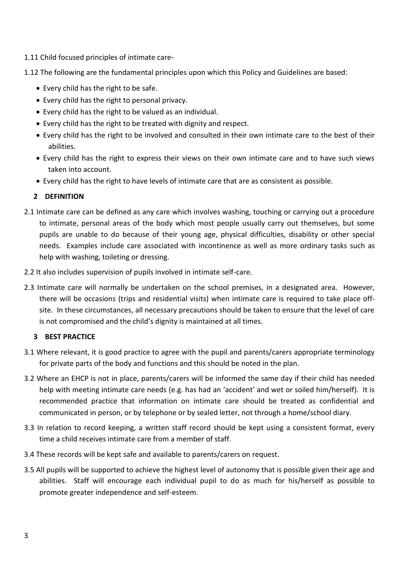- 1.11 Child focused principles of intimate care-
- 1.12 The following are the fundamental principles upon which this Policy and Guidelines are based:
	- Every child has the right to be safe.
	- Every child has the right to personal privacy.
	- Every child has the right to be valued as an individual.
	- Every child has the right to be treated with dignity and respect.
	- Every child has the right to be involved and consulted in their own intimate care to the best of their abilities.
	- Every child has the right to express their views on their own intimate care and to have such views taken into account.
	- Every child has the right to have levels of intimate care that are as consistent as possible.

## **2 DEFINITION**

- 2.1 Intimate care can be defined as any care which involves washing, touching or carrying out a procedure to intimate, personal areas of the body which most people usually carry out themselves, but some pupils are unable to do because of their young age, physical difficulties, disability or other special needs. Examples include care associated with incontinence as well as more ordinary tasks such as help with washing, toileting or dressing.
- 2.2 It also includes supervision of pupils involved in intimate self-care.
- 2.3 Intimate care will normally be undertaken on the school premises, in a designated area. However, there will be occasions (trips and residential visits) when intimate care is required to take place offsite. In these circumstances, all necessary precautions should be taken to ensure that the level of care is not compromised and the child's dignity is maintained at all times.

#### **3 BEST PRACTICE**

- 3.1 Where relevant, it is good practice to agree with the pupil and parents/carers appropriate terminology for private parts of the body and functions and this should be noted in the plan.
- 3.2 Where an EHCP is not in place, parents/carers will be informed the same day if their child has needed help with meeting intimate care needs (e.g. has had an 'accident' and wet or soiled him/herself). It is recommended practice that information on intimate care should be treated as confidential and communicated in person, or by telephone or by sealed letter, not through a home/school diary.
- 3.3 In relation to record keeping, a written staff record should be kept using a consistent format, every time a child receives intimate care from a member of staff.
- 3.4 These records will be kept safe and available to parents/carers on request.
- 3.5 All pupils will be supported to achieve the highest level of autonomy that is possible given their age and abilities. Staff will encourage each individual pupil to do as much for his/herself as possible to promote greater independence and self-esteem.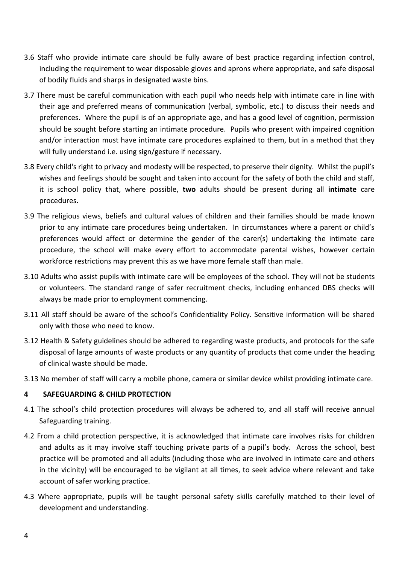- 3.6 Staff who provide intimate care should be fully aware of best practice regarding infection control, including the requirement to wear disposable gloves and aprons where appropriate, and safe disposal of bodily fluids and sharps in designated waste bins.
- 3.7 There must be careful communication with each pupil who needs help with intimate care in line with their age and preferred means of communication (verbal, symbolic, etc.) to discuss their needs and preferences. Where the pupil is of an appropriate age, and has a good level of cognition, permission should be sought before starting an intimate procedure. Pupils who present with impaired cognition and/or interaction must have intimate care procedures explained to them, but in a method that they will fully understand i.e. using sign/gesture if necessary.
- 3.8 Every child's right to privacy and modesty will be respected, to preserve their dignity. Whilst the pupil's wishes and feelings should be sought and taken into account for the safety of both the child and staff, it is school policy that, where possible, **two** adults should be present during all **intimate** care procedures.
- 3.9 The religious views, beliefs and cultural values of children and their families should be made known prior to any intimate care procedures being undertaken. In circumstances where a parent or child's preferences would affect or determine the gender of the carer(s) undertaking the intimate care procedure, the school will make every effort to accommodate parental wishes, however certain workforce restrictions may prevent this as we have more female staff than male.
- 3.10 Adults who assist pupils with intimate care will be employees of the school. They will not be students or volunteers. The standard range of safer recruitment checks, including enhanced DBS checks will always be made prior to employment commencing.
- 3.11 All staff should be aware of the school's Confidentiality Policy. Sensitive information will be shared only with those who need to know.
- 3.12 Health & Safety guidelines should be adhered to regarding waste products, and protocols for the safe disposal of large amounts of waste products or any quantity of products that come under the heading of clinical waste should be made.
- 3.13 No member of staff will carry a mobile phone, camera or similar device whilst providing intimate care.

#### **4 SAFEGUARDING & CHILD PROTECTION**

- 4.1 The school's child protection procedures will always be adhered to, and all staff will receive annual Safeguarding training.
- 4.2 From a child protection perspective, it is acknowledged that intimate care involves risks for children and adults as it may involve staff touching private parts of a pupil's body. Across the school, best practice will be promoted and all adults (including those who are involved in intimate care and others in the vicinity) will be encouraged to be vigilant at all times, to seek advice where relevant and take account of safer working practice.
- 4.3 Where appropriate, pupils will be taught personal safety skills carefully matched to their level of development and understanding.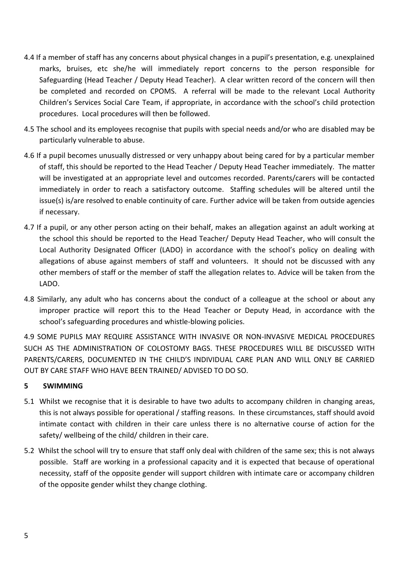- 4.4 If a member of staff has any concerns about physical changes in a pupil's presentation, e.g. unexplained marks, bruises, etc she/he will immediately report concerns to the person responsible for Safeguarding (Head Teacher / Deputy Head Teacher). A clear written record of the concern will then be completed and recorded on CPOMS. A referral will be made to the relevant Local Authority Children's Services Social Care Team, if appropriate, in accordance with the school's child protection procedures. Local procedures will then be followed.
- 4.5 The school and its employees recognise that pupils with special needs and/or who are disabled may be particularly vulnerable to abuse.
- 4.6 If a pupil becomes unusually distressed or very unhappy about being cared for by a particular member of staff, this should be reported to the Head Teacher / Deputy Head Teacher immediately. The matter will be investigated at an appropriate level and outcomes recorded. Parents/carers will be contacted immediately in order to reach a satisfactory outcome. Staffing schedules will be altered until the issue(s) is/are resolved to enable continuity of care. Further advice will be taken from outside agencies if necessary.
- 4.7 If a pupil, or any other person acting on their behalf, makes an allegation against an adult working at the school this should be reported to the Head Teacher/ Deputy Head Teacher, who will consult the Local Authority Designated Officer (LADO) in accordance with the school's policy on dealing with allegations of abuse against members of staff and volunteers. It should not be discussed with any other members of staff or the member of staff the allegation relates to. Advice will be taken from the LADO.
- 4.8 Similarly, any adult who has concerns about the conduct of a colleague at the school or about any improper practice will report this to the Head Teacher or Deputy Head, in accordance with the school's safeguarding procedures and whistle-blowing policies.

4.9 SOME PUPILS MAY REQUIRE ASSISTANCE WITH INVASIVE OR NON-INVASIVE MEDICAL PROCEDURES SUCH AS THE ADMINISTRATION OF COLOSTOMY BAGS. THESE PROCEDURES WILL BE DISCUSSED WITH PARENTS/CARERS, DOCUMENTED IN THE CHILD'S INDIVIDUAL CARE PLAN AND WILL ONLY BE CARRIED OUT BY CARE STAFF WHO HAVE BEEN TRAINED/ ADVISED TO DO SO.

#### **5 SWIMMING**

- 5.1 Whilst we recognise that it is desirable to have two adults to accompany children in changing areas, this is not always possible for operational / staffing reasons. In these circumstances, staff should avoid intimate contact with children in their care unless there is no alternative course of action for the safety/ wellbeing of the child/ children in their care.
- 5.2 Whilst the school will try to ensure that staff only deal with children of the same sex; this is not always possible. Staff are working in a professional capacity and it is expected that because of operational necessity, staff of the opposite gender will support children with intimate care or accompany children of the opposite gender whilst they change clothing.